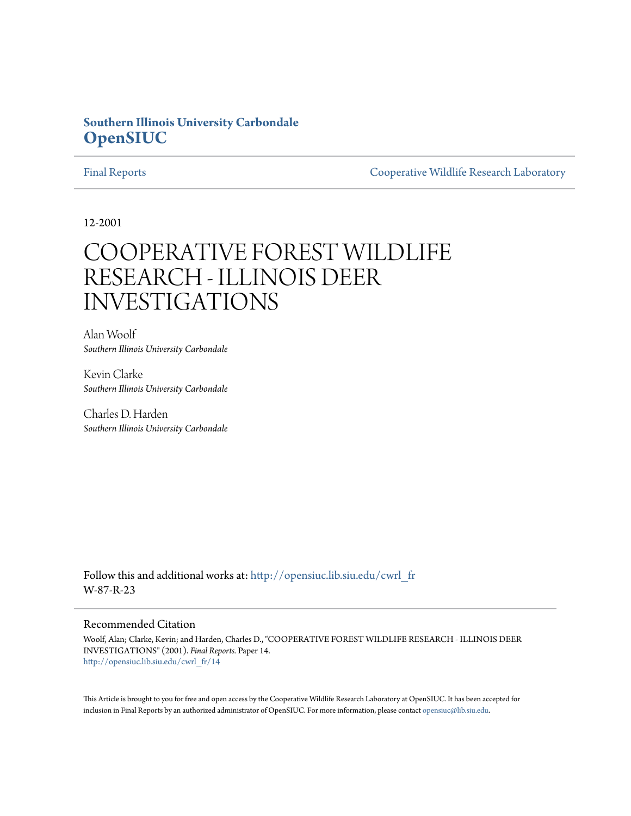# **Southern Illinois University Carbondale [OpenSIUC](http://opensiuc.lib.siu.edu?utm_source=opensiuc.lib.siu.edu%2Fcwrl_fr%2F14&utm_medium=PDF&utm_campaign=PDFCoverPages)**

[Final Reports](http://opensiuc.lib.siu.edu/cwrl_fr?utm_source=opensiuc.lib.siu.edu%2Fcwrl_fr%2F14&utm_medium=PDF&utm_campaign=PDFCoverPages) [Cooperative Wildlife Research Laboratory](http://opensiuc.lib.siu.edu/cwrl?utm_source=opensiuc.lib.siu.edu%2Fcwrl_fr%2F14&utm_medium=PDF&utm_campaign=PDFCoverPages)

12-2001

# COOPERATIVE FOREST WILDLIFE RESEARCH - ILLINOIS DEER INVESTIGATIONS

Alan Woolf *Southern Illinois University Carbondale*

Kevin Clarke *Southern Illinois University Carbondale*

Charles D. Harden *Southern Illinois University Carbondale*

Follow this and additional works at: [http://opensiuc.lib.siu.edu/cwrl\\_fr](http://opensiuc.lib.siu.edu/cwrl_fr?utm_source=opensiuc.lib.siu.edu%2Fcwrl_fr%2F14&utm_medium=PDF&utm_campaign=PDFCoverPages) W-87-R-23

#### Recommended Citation

Woolf, Alan; Clarke, Kevin; and Harden, Charles D., "COOPERATIVE FOREST WILDLIFE RESEARCH - ILLINOIS DEER INVESTIGATIONS" (2001). *Final Reports.* Paper 14. [http://opensiuc.lib.siu.edu/cwrl\\_fr/14](http://opensiuc.lib.siu.edu/cwrl_fr/14?utm_source=opensiuc.lib.siu.edu%2Fcwrl_fr%2F14&utm_medium=PDF&utm_campaign=PDFCoverPages)

This Article is brought to you for free and open access by the Cooperative Wildlife Research Laboratory at OpenSIUC. It has been accepted for inclusion in Final Reports by an authorized administrator of OpenSIUC. For more information, please contact [opensiuc@lib.siu.edu](mailto:opensiuc@lib.siu.edu).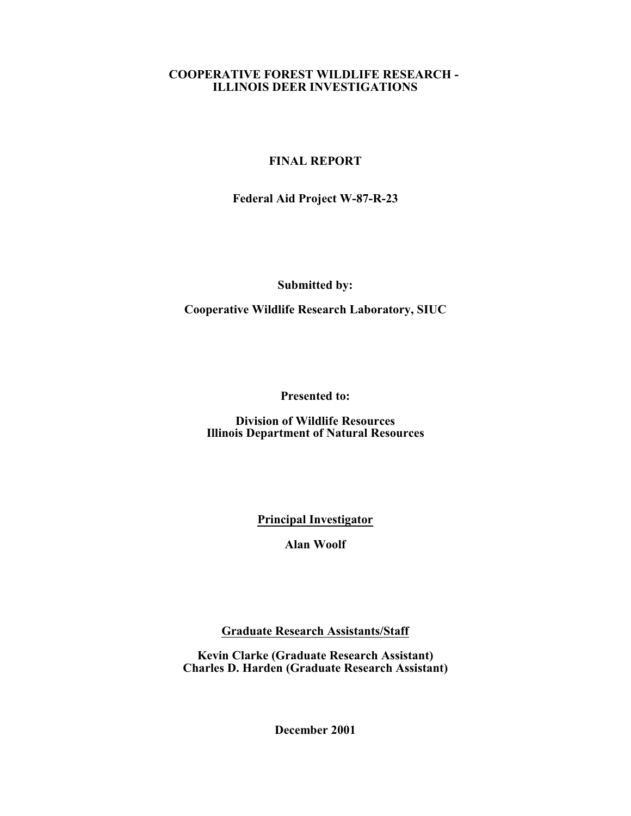#### **COOPERATIVE FOREST WILDLIFE RESEARCH - ILLINOIS DEER INVESTIGATIONS**

## **FINAL REPORT**

**Federal Aid Project W-87-R-23**

**Submitted by:**

**Cooperative Wildlife Research Laboratory, SIUC**

**Presented to:**

**Division of Wildlife Resources Illinois Department of Natural Resources**

**Principal Investigator**

**Alan Woolf**

**Graduate Research Assistants/Staff**

**Kevin Clarke (Graduate Research Assistant) Charles D. Harden (Graduate Research Assistant)**

**December 2001**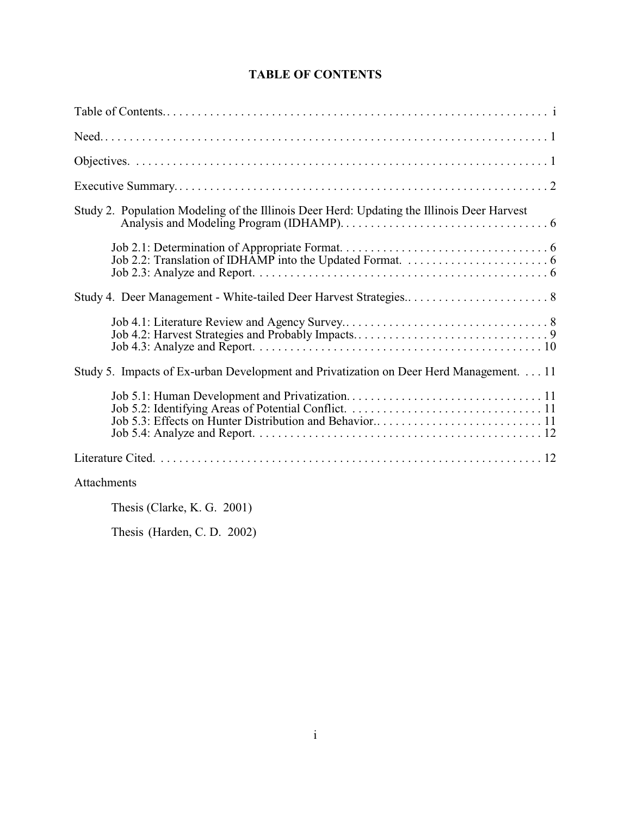# **TABLE OF CONTENTS**

| Study 2. Population Modeling of the Illinois Deer Herd: Updating the Illinois Deer Harvest |
|--------------------------------------------------------------------------------------------|
|                                                                                            |
| Study 4. Deer Management - White-tailed Deer Harvest Strategies 8                          |
|                                                                                            |
| Study 5. Impacts of Ex-urban Development and Privatization on Deer Herd Management. 11     |
|                                                                                            |
|                                                                                            |
| Attachments                                                                                |

Thesis (Clarke, K. G. 2001)

Thesis (Harden, C. D. 2002)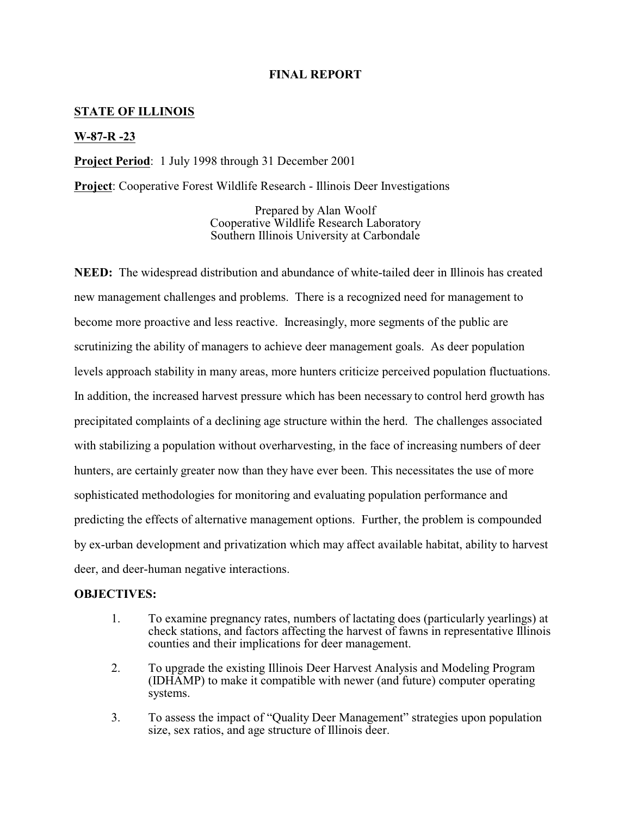#### **FINAL REPORT**

#### **STATE OF ILLINOIS**

#### **W-87-R -23**

**Project Period**: 1 July 1998 through 31 December 2001

**Project**: Cooperative Forest Wildlife Research - Illinois Deer Investigations

Prepared by Alan Woolf Cooperative Wildlife Research Laboratory Southern Illinois University at Carbondale

**NEED:** The widespread distribution and abundance of white-tailed deer in Illinois has created new management challenges and problems. There is a recognized need for management to become more proactive and less reactive. Increasingly, more segments of the public are scrutinizing the ability of managers to achieve deer management goals. As deer population levels approach stability in many areas, more hunters criticize perceived population fluctuations. In addition, the increased harvest pressure which has been necessary to control herd growth has precipitated complaints of a declining age structure within the herd. The challenges associated with stabilizing a population without overharvesting, in the face of increasing numbers of deer hunters, are certainly greater now than they have ever been. This necessitates the use of more sophisticated methodologies for monitoring and evaluating population performance and predicting the effects of alternative management options. Further, the problem is compounded by ex-urban development and privatization which may affect available habitat, ability to harvest deer, and deer-human negative interactions.

#### **OBJECTIVES:**

- 1. To examine pregnancy rates, numbers of lactating does (particularly yearlings) at check stations, and factors affecting the harvest of fawns in representative Illinois counties and their implications for deer management.
- 2. To upgrade the existing Illinois Deer Harvest Analysis and Modeling Program (IDHAMP) to make it compatible with newer (and future) computer operating systems.
- 3. To assess the impact of "Quality Deer Management" strategies upon population size, sex ratios, and age structure of Illinois deer.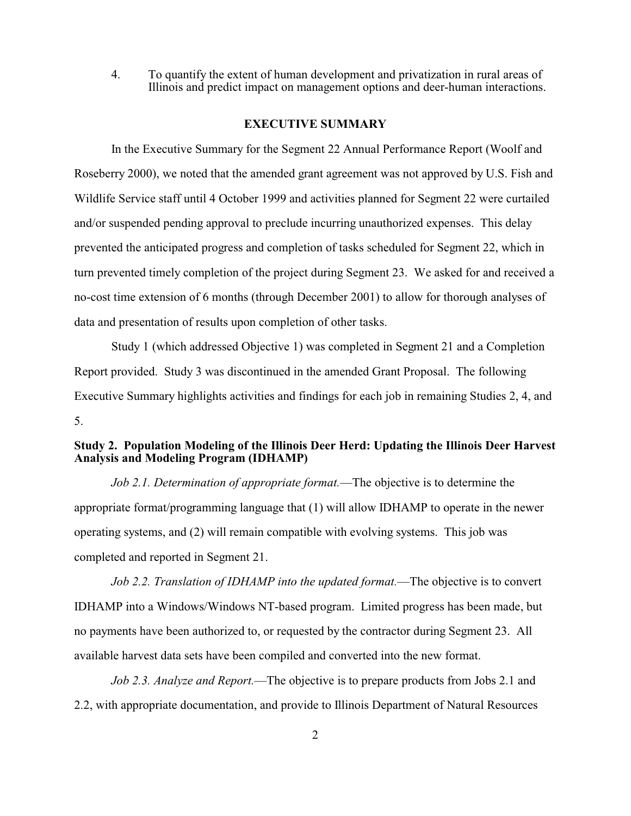4. To quantify the extent of human development and privatization in rural areas of Illinois and predict impact on management options and deer-human interactions.

#### **EXECUTIVE SUMMARY**

In the Executive Summary for the Segment 22 Annual Performance Report (Woolf and Roseberry 2000), we noted that the amended grant agreement was not approved by U.S. Fish and Wildlife Service staff until 4 October 1999 and activities planned for Segment 22 were curtailed and/or suspended pending approval to preclude incurring unauthorized expenses. This delay prevented the anticipated progress and completion of tasks scheduled for Segment 22, which in turn prevented timely completion of the project during Segment 23. We asked for and received a no-cost time extension of 6 months (through December 2001) to allow for thorough analyses of data and presentation of results upon completion of other tasks.

Study 1 (which addressed Objective 1) was completed in Segment 21 and a Completion Report provided. Study 3 was discontinued in the amended Grant Proposal. The following Executive Summary highlights activities and findings for each job in remaining Studies 2, 4, and 5.

### **Study 2. Population Modeling of the Illinois Deer Herd: Updating the Illinois Deer Harvest Analysis and Modeling Program (IDHAMP)**

*Job 2.1. Determination of appropriate format.*—The objective is to determine the appropriate format/programming language that (1) will allow IDHAMP to operate in the newer operating systems, and (2) will remain compatible with evolving systems. This job was completed and reported in Segment 21.

*Job 2.2. Translation of IDHAMP into the updated format.*—The objective is to convert IDHAMP into a Windows/Windows NT-based program. Limited progress has been made, but no payments have been authorized to, or requested by the contractor during Segment 23. All available harvest data sets have been compiled and converted into the new format.

*Job 2.3. Analyze and Report.*—The objective is to prepare products from Jobs 2.1 and 2.2, with appropriate documentation, and provide to Illinois Department of Natural Resources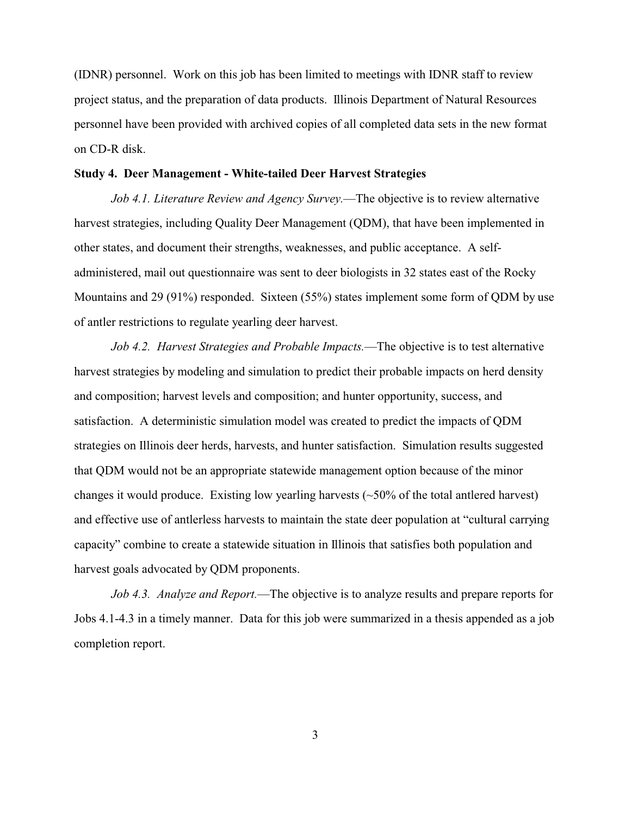(IDNR) personnel. Work on this job has been limited to meetings with IDNR staff to review project status, and the preparation of data products. Illinois Department of Natural Resources personnel have been provided with archived copies of all completed data sets in the new format on CD-R disk.

#### **Study 4. Deer Management - White-tailed Deer Harvest Strategies**

*Job 4.1. Literature Review and Agency Survey.*—The objective is to review alternative harvest strategies, including Quality Deer Management (QDM), that have been implemented in other states, and document their strengths, weaknesses, and public acceptance. A selfadministered, mail out questionnaire was sent to deer biologists in 32 states east of the Rocky Mountains and 29 (91%) responded. Sixteen (55%) states implement some form of QDM by use of antler restrictions to regulate yearling deer harvest.

*Job 4.2. Harvest Strategies and Probable Impacts.*—The objective is to test alternative harvest strategies by modeling and simulation to predict their probable impacts on herd density and composition; harvest levels and composition; and hunter opportunity, success, and satisfaction. A deterministic simulation model was created to predict the impacts of QDM strategies on Illinois deer herds, harvests, and hunter satisfaction. Simulation results suggested that QDM would not be an appropriate statewide management option because of the minor changes it would produce. Existing low yearling harvests  $(\sim 50\%$  of the total antlered harvest) and effective use of antlerless harvests to maintain the state deer population at "cultural carrying capacity" combine to create a statewide situation in Illinois that satisfies both population and harvest goals advocated by QDM proponents.

*Job 4.3. Analyze and Report.*—The objective is to analyze results and prepare reports for Jobs 4.1-4.3 in a timely manner. Data for this job were summarized in a thesis appended as a job completion report.

3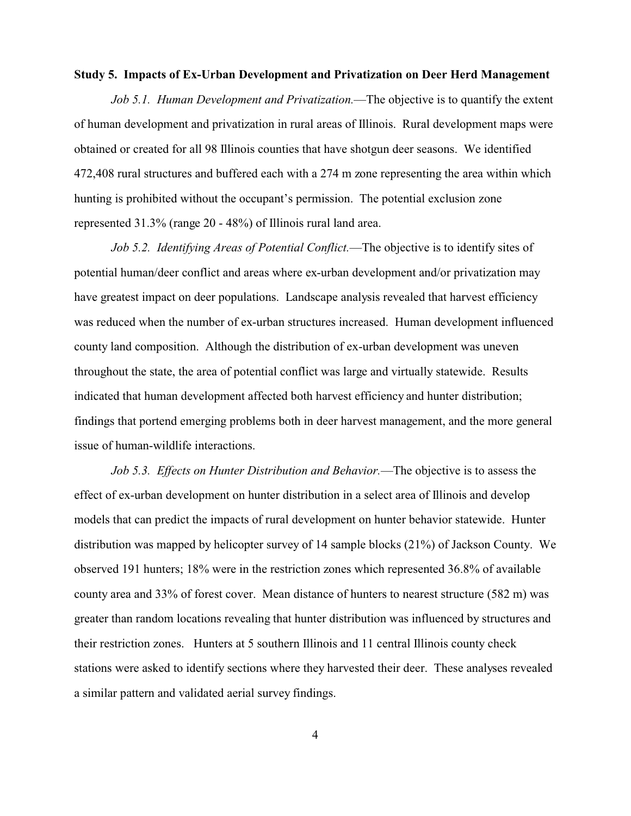#### **Study 5. Impacts of Ex-Urban Development and Privatization on Deer Herd Management**

*Job 5.1. Human Development and Privatization.*—The objective is to quantify the extent of human development and privatization in rural areas of Illinois. Rural development maps were obtained or created for all 98 Illinois counties that have shotgun deer seasons. We identified 472,408 rural structures and buffered each with a 274 m zone representing the area within which hunting is prohibited without the occupant's permission. The potential exclusion zone represented 31.3% (range 20 - 48%) of Illinois rural land area.

*Job 5.2. Identifying Areas of Potential Conflict.*—The objective is to identify sites of potential human/deer conflict and areas where ex-urban development and/or privatization may have greatest impact on deer populations. Landscape analysis revealed that harvest efficiency was reduced when the number of ex-urban structures increased. Human development influenced county land composition. Although the distribution of ex-urban development was uneven throughout the state, the area of potential conflict was large and virtually statewide. Results indicated that human development affected both harvest efficiency and hunter distribution; findings that portend emerging problems both in deer harvest management, and the more general issue of human-wildlife interactions.

*Job 5.3. Effects on Hunter Distribution and Behavior.*—The objective is to assess the effect of ex-urban development on hunter distribution in a select area of Illinois and develop models that can predict the impacts of rural development on hunter behavior statewide. Hunter distribution was mapped by helicopter survey of 14 sample blocks (21%) of Jackson County. We observed 191 hunters; 18% were in the restriction zones which represented 36.8% of available county area and 33% of forest cover. Mean distance of hunters to nearest structure (582 m) was greater than random locations revealing that hunter distribution was influenced by structures and their restriction zones. Hunters at 5 southern Illinois and 11 central Illinois county check stations were asked to identify sections where they harvested their deer. These analyses revealed a similar pattern and validated aerial survey findings.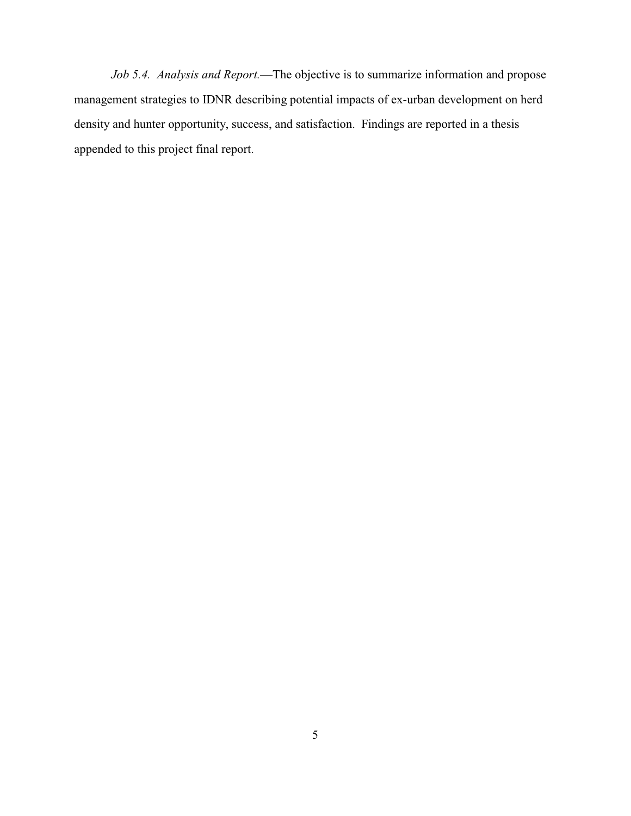*Job 5.4. Analysis and Report.*—The objective is to summarize information and propose management strategies to IDNR describing potential impacts of ex-urban development on herd density and hunter opportunity, success, and satisfaction. Findings are reported in a thesis appended to this project final report.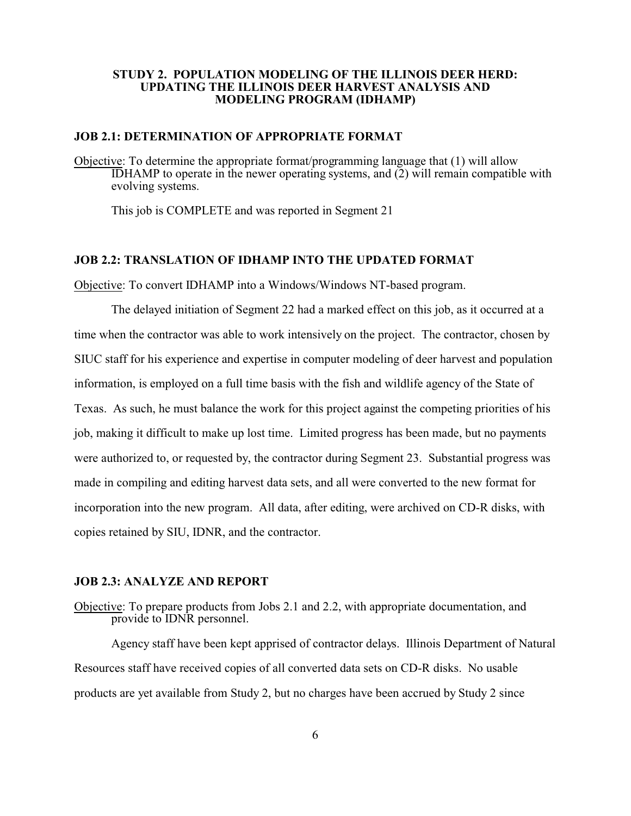#### **STUDY 2. POPULATION MODELING OF THE ILLINOIS DEER HERD: UPDATING THE ILLINOIS DEER HARVEST ANALYSIS AND MODELING PROGRAM (IDHAMP)**

#### **JOB 2.1: DETERMINATION OF APPROPRIATE FORMAT**

Objective: To determine the appropriate format/programming language that (1) will allow IDHAMP to operate in the newer operating systems, and (2) will remain compatible with evolving systems.

This job is COMPLETE and was reported in Segment 21

#### **JOB 2.2: TRANSLATION OF IDHAMP INTO THE UPDATED FORMAT**

Objective: To convert IDHAMP into a Windows/Windows NT-based program.

The delayed initiation of Segment 22 had a marked effect on this job, as it occurred at a time when the contractor was able to work intensively on the project. The contractor, chosen by SIUC staff for his experience and expertise in computer modeling of deer harvest and population information, is employed on a full time basis with the fish and wildlife agency of the State of Texas. As such, he must balance the work for this project against the competing priorities of his job, making it difficult to make up lost time. Limited progress has been made, but no payments were authorized to, or requested by, the contractor during Segment 23. Substantial progress was made in compiling and editing harvest data sets, and all were converted to the new format for incorporation into the new program. All data, after editing, were archived on CD-R disks, with copies retained by SIU, IDNR, and the contractor.

#### **JOB 2.3: ANALYZE AND REPORT**

Objective: To prepare products from Jobs 2.1 and 2.2, with appropriate documentation, and provide to IDNR personnel.

Agency staff have been kept apprised of contractor delays. Illinois Department of Natural Resources staff have received copies of all converted data sets on CD-R disks. No usable products are yet available from Study 2, but no charges have been accrued by Study 2 since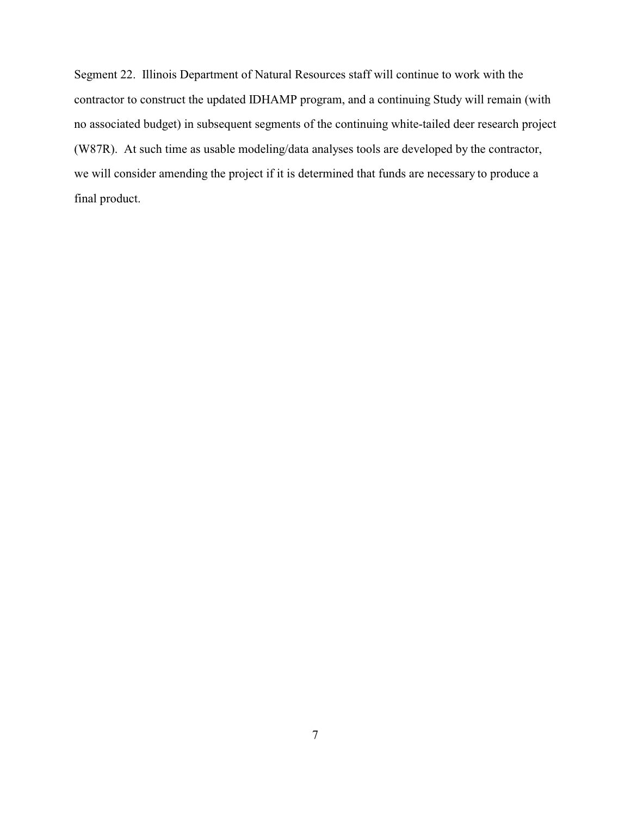Segment 22. Illinois Department of Natural Resources staff will continue to work with the contractor to construct the updated IDHAMP program, and a continuing Study will remain (with no associated budget) in subsequent segments of the continuing white-tailed deer research project (W87R). At such time as usable modeling/data analyses tools are developed by the contractor, we will consider amending the project if it is determined that funds are necessary to produce a final product.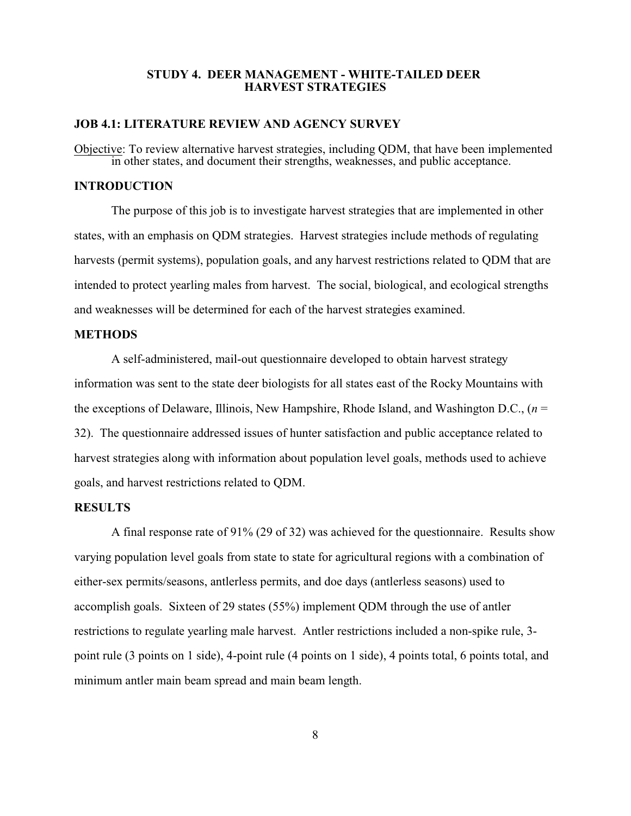#### **STUDY 4. DEER MANAGEMENT - WHITE-TAILED DEER HARVEST STRATEGIES**

#### **JOB 4.1: LITERATURE REVIEW AND AGENCY SURVEY**

Objective: To review alternative harvest strategies, including QDM, that have been implemented in other states, and document their strengths, weaknesses, and public acceptance.

#### **INTRODUCTION**

The purpose of this job is to investigate harvest strategies that are implemented in other states, with an emphasis on QDM strategies. Harvest strategies include methods of regulating harvests (permit systems), population goals, and any harvest restrictions related to QDM that are intended to protect yearling males from harvest. The social, biological, and ecological strengths and weaknesses will be determined for each of the harvest strategies examined.

#### **METHODS**

A self-administered, mail-out questionnaire developed to obtain harvest strategy information was sent to the state deer biologists for all states east of the Rocky Mountains with the exceptions of Delaware, Illinois, New Hampshire, Rhode Island, and Washington D.C., (*n* = 32). The questionnaire addressed issues of hunter satisfaction and public acceptance related to harvest strategies along with information about population level goals, methods used to achieve goals, and harvest restrictions related to QDM.

#### **RESULTS**

A final response rate of 91% (29 of 32) was achieved for the questionnaire. Results show varying population level goals from state to state for agricultural regions with a combination of either-sex permits/seasons, antlerless permits, and doe days (antlerless seasons) used to accomplish goals. Sixteen of 29 states (55%) implement QDM through the use of antler restrictions to regulate yearling male harvest. Antler restrictions included a non-spike rule, 3 point rule (3 points on 1 side), 4-point rule (4 points on 1 side), 4 points total, 6 points total, and minimum antler main beam spread and main beam length.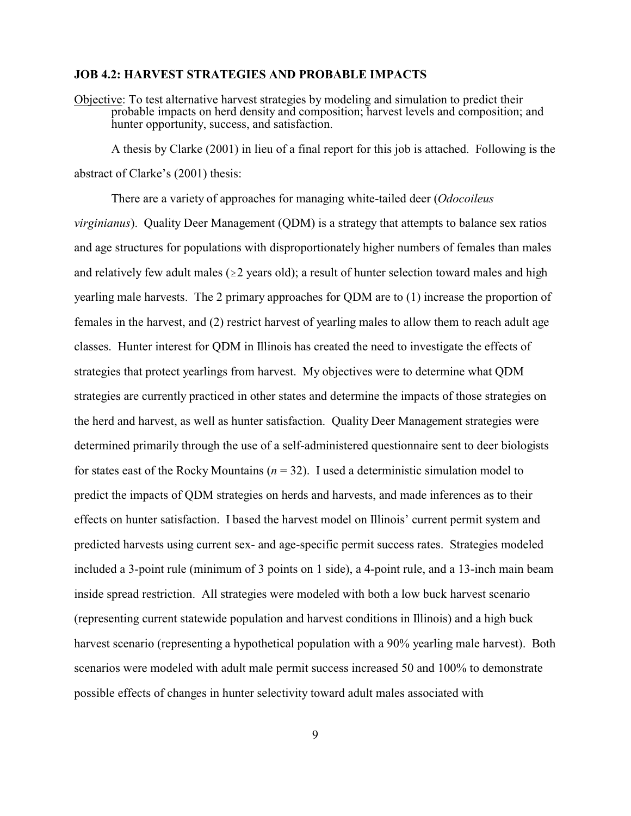#### **JOB 4.2: HARVEST STRATEGIES AND PROBABLE IMPACTS**

Objective: To test alternative harvest strategies by modeling and simulation to predict their probable impacts on herd density and composition; harvest levels and composition; and hunter opportunity, success, and satisfaction.

A thesis by Clarke (2001) in lieu of a final report for this job is attached. Following is the abstract of Clarke's (2001) thesis:

There are a variety of approaches for managing white-tailed deer (*Odocoileus virginianus*). Quality Deer Management (QDM) is a strategy that attempts to balance sex ratios and age structures for populations with disproportionately higher numbers of females than males and relatively few adult males ( $\geq 2$  years old); a result of hunter selection toward males and high yearling male harvests. The 2 primary approaches for QDM are to (1) increase the proportion of females in the harvest, and (2) restrict harvest of yearling males to allow them to reach adult age classes. Hunter interest for QDM in Illinois has created the need to investigate the effects of strategies that protect yearlings from harvest. My objectives were to determine what QDM strategies are currently practiced in other states and determine the impacts of those strategies on the herd and harvest, as well as hunter satisfaction. Quality Deer Management strategies were determined primarily through the use of a self-administered questionnaire sent to deer biologists for states east of the Rocky Mountains  $(n = 32)$ . I used a deterministic simulation model to predict the impacts of QDM strategies on herds and harvests, and made inferences as to their effects on hunter satisfaction. I based the harvest model on Illinois' current permit system and predicted harvests using current sex- and age-specific permit success rates. Strategies modeled included a 3-point rule (minimum of 3 points on 1 side), a 4-point rule, and a 13-inch main beam inside spread restriction. All strategies were modeled with both a low buck harvest scenario (representing current statewide population and harvest conditions in Illinois) and a high buck harvest scenario (representing a hypothetical population with a 90% yearling male harvest). Both scenarios were modeled with adult male permit success increased 50 and 100% to demonstrate possible effects of changes in hunter selectivity toward adult males associated with

9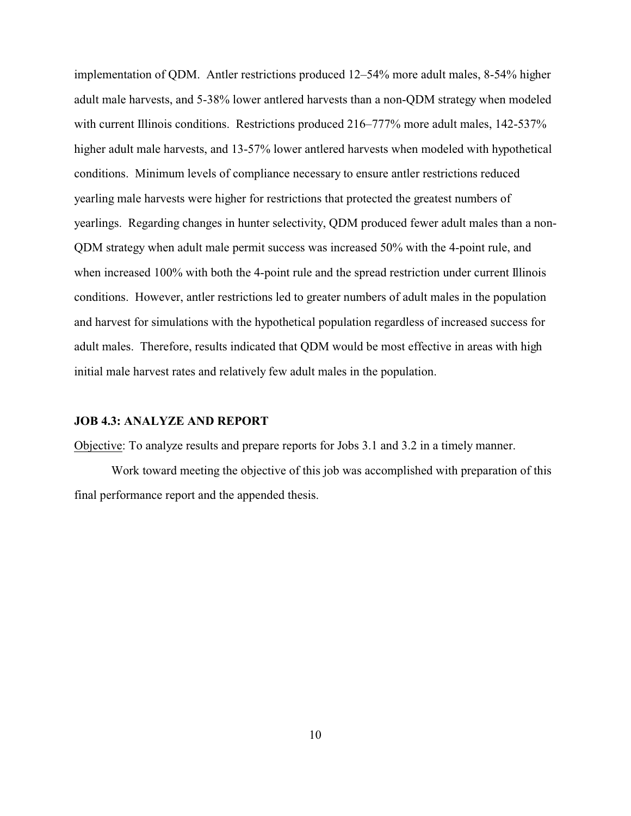implementation of QDM. Antler restrictions produced 12–54% more adult males, 8-54% higher adult male harvests, and 5-38% lower antlered harvests than a non-QDM strategy when modeled with current Illinois conditions. Restrictions produced 216–777% more adult males, 142-537% higher adult male harvests, and 13-57% lower antlered harvests when modeled with hypothetical conditions. Minimum levels of compliance necessary to ensure antler restrictions reduced yearling male harvests were higher for restrictions that protected the greatest numbers of yearlings. Regarding changes in hunter selectivity, QDM produced fewer adult males than a non-QDM strategy when adult male permit success was increased 50% with the 4-point rule, and when increased 100% with both the 4-point rule and the spread restriction under current Illinois conditions. However, antler restrictions led to greater numbers of adult males in the population and harvest for simulations with the hypothetical population regardless of increased success for adult males. Therefore, results indicated that QDM would be most effective in areas with high initial male harvest rates and relatively few adult males in the population.

#### **JOB 4.3: ANALYZE AND REPORT**

Objective: To analyze results and prepare reports for Jobs 3.1 and 3.2 in a timely manner.

Work toward meeting the objective of this job was accomplished with preparation of this final performance report and the appended thesis.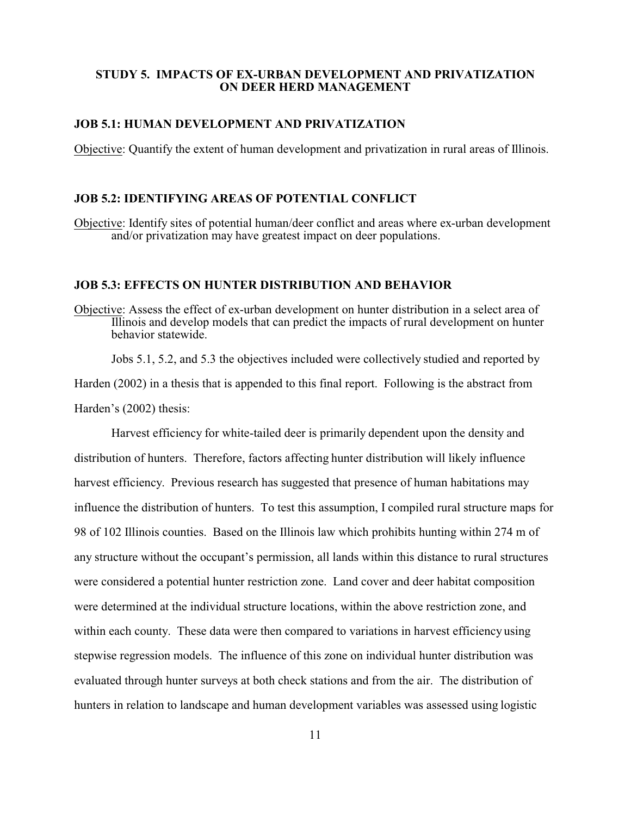#### **STUDY 5. IMPACTS OF EX-URBAN DEVELOPMENT AND PRIVATIZATION ON DEER HERD MANAGEMENT**

### **JOB 5.1: HUMAN DEVELOPMENT AND PRIVATIZATION**

Objective: Quantify the extent of human development and privatization in rural areas of Illinois.

#### **JOB 5.2: IDENTIFYING AREAS OF POTENTIAL CONFLICT**

Objective: Identify sites of potential human/deer conflict and areas where ex-urban development and/or privatization may have greatest impact on deer populations.

#### **JOB 5.3: EFFECTS ON HUNTER DISTRIBUTION AND BEHAVIOR**

Objective: Assess the effect of ex-urban development on hunter distribution in a select area of Illinois and develop models that can predict the impacts of rural development on hunter behavior statewide.

Jobs 5.1, 5.2, and 5.3 the objectives included were collectively studied and reported by Harden (2002) in a thesis that is appended to this final report. Following is the abstract from Harden's (2002) thesis:

Harvest efficiency for white-tailed deer is primarily dependent upon the density and distribution of hunters. Therefore, factors affecting hunter distribution will likely influence harvest efficiency. Previous research has suggested that presence of human habitations may influence the distribution of hunters. To test this assumption, I compiled rural structure maps for 98 of 102 Illinois counties. Based on the Illinois law which prohibits hunting within 274 m of any structure without the occupant's permission, all lands within this distance to rural structures were considered a potential hunter restriction zone. Land cover and deer habitat composition were determined at the individual structure locations, within the above restriction zone, and within each county. These data were then compared to variations in harvest efficiency using stepwise regression models. The influence of this zone on individual hunter distribution was evaluated through hunter surveys at both check stations and from the air. The distribution of hunters in relation to landscape and human development variables was assessed using logistic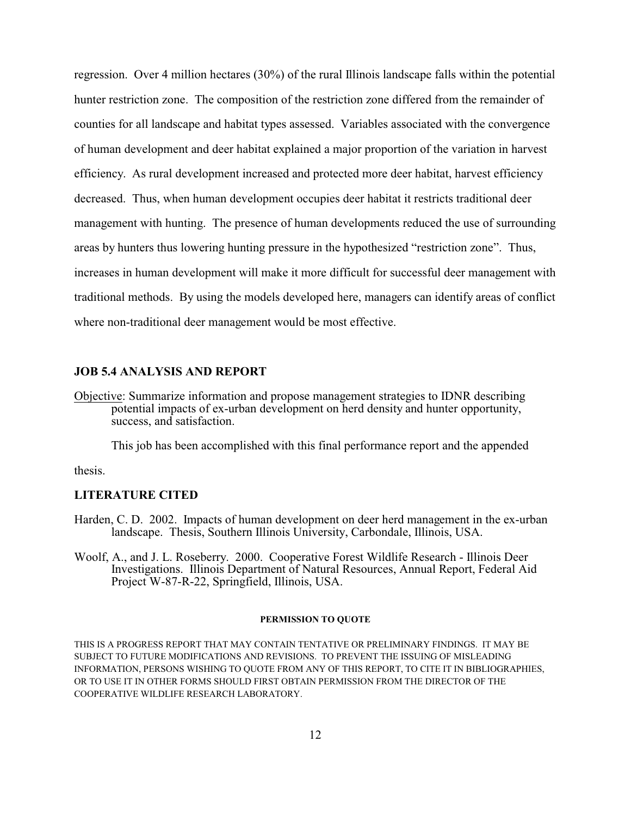regression. Over 4 million hectares (30%) of the rural Illinois landscape falls within the potential hunter restriction zone. The composition of the restriction zone differed from the remainder of counties for all landscape and habitat types assessed. Variables associated with the convergence of human development and deer habitat explained a major proportion of the variation in harvest efficiency. As rural development increased and protected more deer habitat, harvest efficiency decreased. Thus, when human development occupies deer habitat it restricts traditional deer management with hunting. The presence of human developments reduced the use of surrounding areas by hunters thus lowering hunting pressure in the hypothesized "restriction zone". Thus, increases in human development will make it more difficult for successful deer management with traditional methods. By using the models developed here, managers can identify areas of conflict where non-traditional deer management would be most effective.

#### **JOB 5.4 ANALYSIS AND REPORT**

Objective: Summarize information and propose management strategies to IDNR describing potential impacts of ex-urban development on herd density and hunter opportunity, success, and satisfaction.

This job has been accomplished with this final performance report and the appended

thesis.

#### **LITERATURE CITED**

- Harden, C. D. 2002. Impacts of human development on deer herd management in the ex-urban landscape. Thesis, Southern Illinois University, Carbondale, Illinois, USA.
- Woolf, A., and J. L. Roseberry. 2000. Cooperative Forest Wildlife Research Illinois Deer Investigations. Illinois Department of Natural Resources, Annual Report, Federal Aid Project W-87-R-22, Springfield, Illinois, USA.

#### **PERMISSION TO QUOTE**

THIS IS A PROGRESS REPORT THAT MAY CONTAIN TENTATIVE OR PRELIMINARY FINDINGS. IT MAY BE SUBJECT TO FUTURE MODIFICATIONS AND REVISIONS. TO PREVENT THE ISSUING OF MISLEADING INFORMATION, PERSONS WISHING TO QUOTE FROM ANY OF THIS REPORT, TO CITE IT IN BIBLIOGRAPHIES, OR TO USE IT IN OTHER FORMS SHOULD FIRST OBTAIN PERMISSION FROM THE DIRECTOR OF THE COOPERATIVE WILDLIFE RESEARCH LABORATORY.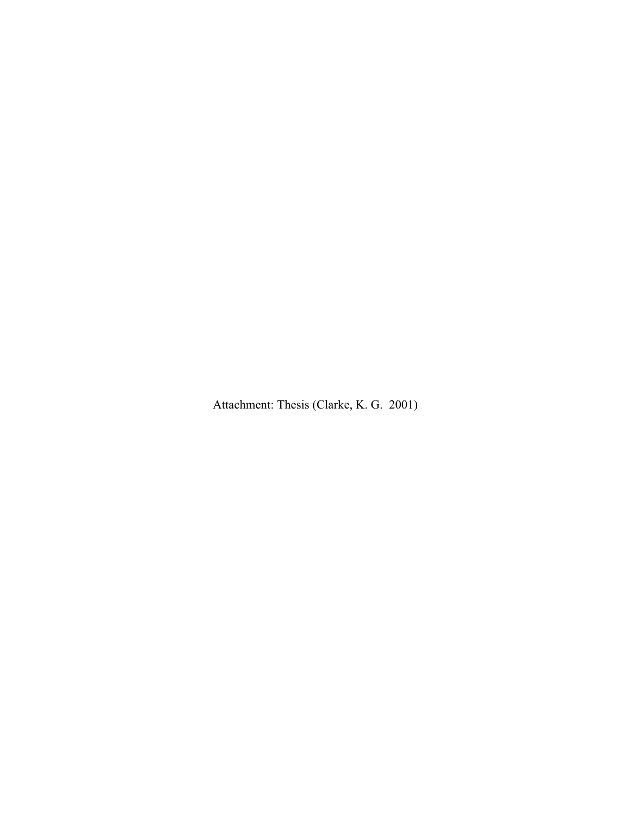Attachment: Thesis (Clarke, K. G. 2001)